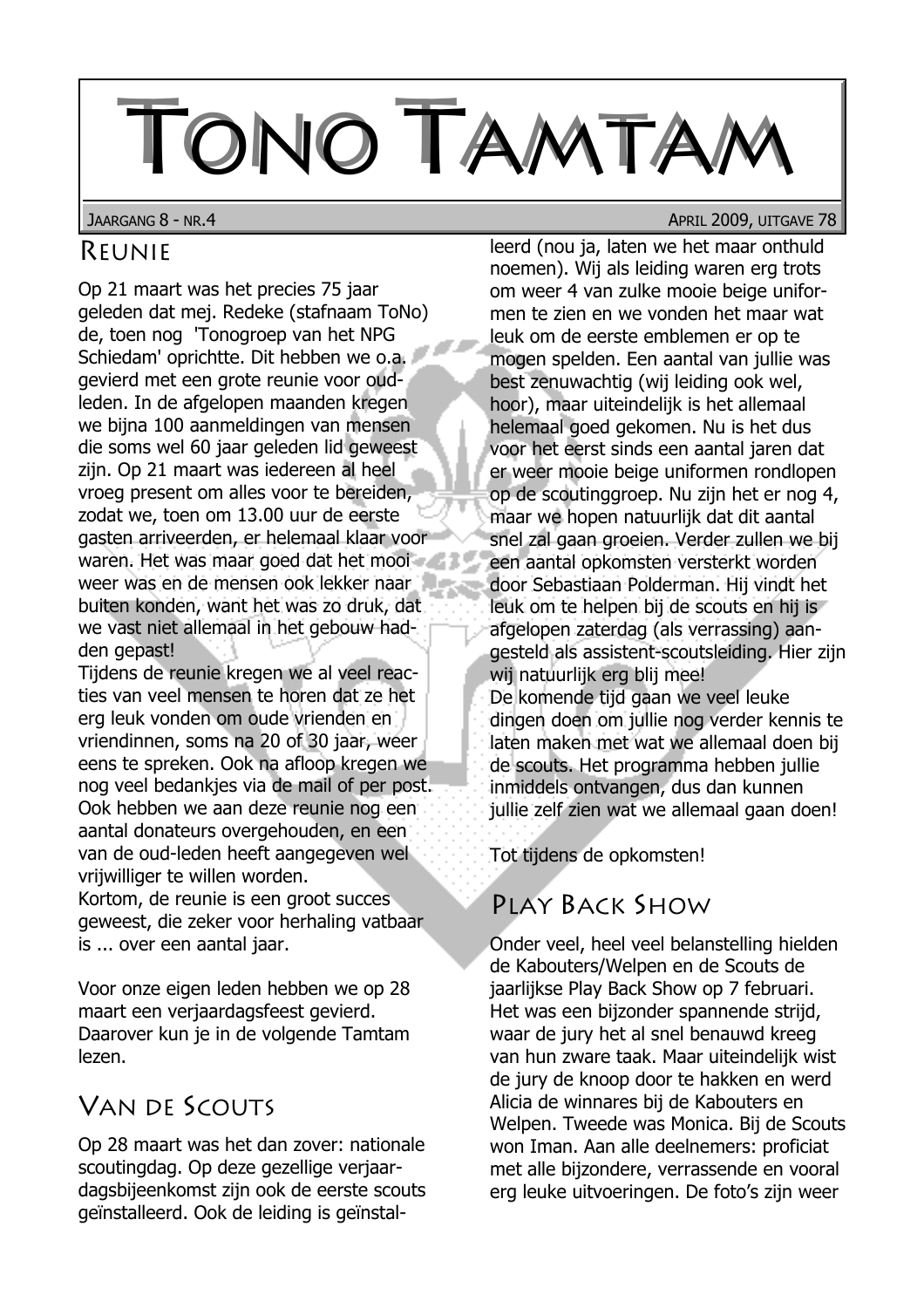# TONO TAMTA

JAARGANG 8 - NR.4

## REUNIE

Op 21 maart was het precies 75 jaar geleden dat mej. Redeke (stafnaam ToNo) de, toen nog 'Tonogroep van het NPG Schiedam' oprichtte. Dit hebben we o.a. gevierd met een grote reunie voor oudleden. In de afgelopen maanden kregen we bijna 100 aanmeldingen van mensen die soms wel 60 jaar geleden lid geweest zijn. Op 21 maart was jedereen al heel vroeg present om alles voor te bereiden, zodat we, toen om 13.00 uur de eerste gasten arriveerden, er helemaal klaar voor waren. Het was maar goed dat het mooi weer was en de mensen ook lekker naar buiten konden, want het was zo druk, dat we vast niet allemaal in het gebouw hadden gepast!

Tijdens de reunie kregen we al veel reacties van veel mensen te horen dat ze het erg leuk vonden om oude vrienden en vriendinnen, soms na 20 of 30 jaar, weer eens te spreken. Ook na afloop kregen we nog veel bedankjes via de mail of per post. Ook hebben we aan deze reunie nog een aantal donateurs overgehouden, en een van de oud-leden heeft aangegeven wel vrijwilliger te willen worden.

Kortom, de reunie is een groot succes geweest, die zeker voor herhaling vatbaar is ... over een aantal jaar.

Voor onze eigen leden hebben we op 28 maart een verjaardagsfeest gevierd. Daarover kun je in de volgende Tamtam lezen.

# **VAN DE SCOUTS**

Op 28 maart was het dan zover: nationale scoutingdag. Op deze gezellige verjaardagsbijeenkomst zijn ook de eerste scouts geïnstalleerd. Ook de leiding is geïnstalAPRIL 2009, UITGAVE 78

leerd (nou ja, laten we het maar onthuld noemen). Wij als leiding waren erg trots om weer 4 van zulke mooie beige uniformen te zien en we vonden het maar wat leuk om de eerste emblemen er op te mogen spelden. Een aantal van jullie was best zenuwachtig (wij leiding ook wel, hoor), maar uiteindelijk is het allemaal helemaal goed gekomen. Nu is het dus voor het eerst sinds een aantal jaren dat er weer mooie beige uniformen rondlopen op de scoutinggroep. Nu zijn het er nog 4, maar we hopen natuurlijk dat dit aantal snel zal gaan groeien. Verder zullen we bij een aantal opkomsten versterkt worden door Sebastiaan Polderman, Hij vindt het leuk om te helpen bij de scouts en hij is afgelopen zaterdag (als verrassing) aangesteld als assistent-scoutsleiding. Hier zijn wij natuurlijk erg blij mee! De komende tijd gaan we veel leuke dingen doen om jullie nog verder kennis te laten maken met wat we allemaal doen bij de scouts. Het programma hebben jullie inmiddels ontvangen, dus dan kunnen jullie zelf zien wat we allemaal gaan doen!

Tot tijdens de opkomsten!

# PLAY BACK SHOW

Onder veel, heel veel belanstelling hielden de Kabouters/Welpen en de Scouts de jaarlijkse Play Back Show op 7 februari. Het was een bijzonder spannende strijd, waar de jury het al snel benauwd kreeg van hun zware taak. Maar uiteindelijk wist de jury de knoop door te hakken en werd Alicia de winnares bij de Kabouters en Welpen. Tweede was Monica. Bij de Scouts won Iman. Aan alle deelnemers: proficiat met alle bijzondere, verrassende en vooral erg leuke uitvoeringen. De foto's zijn weer